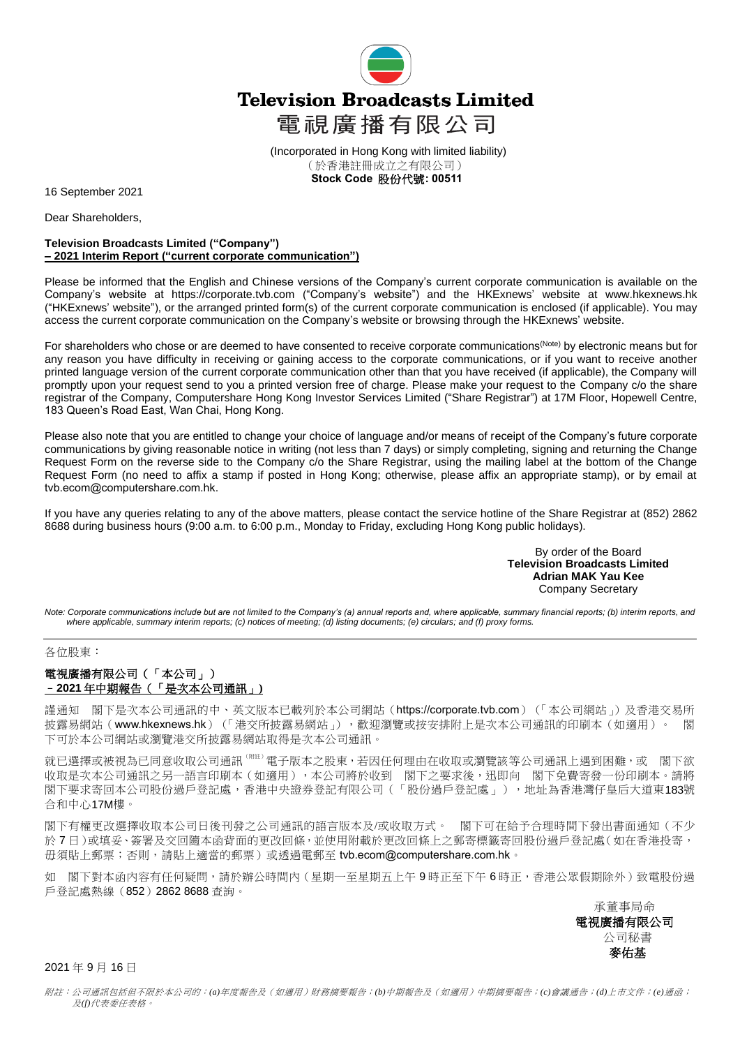

(Incorporated in Hong Kong with limited liability) (於香港註冊成立之有限公司)  **Stock Code** 股份代號**: 00511**

16 September 2021

Dear Shareholders,

## **Television Broadcasts Limited ("Company") – 2021 Interim Report ("current corporate communication")**

Please be informed that the English and Chinese versions of the Company's current corporate communication is available on the Company's website at https://corporate.tvb.com ("Company's website") and the HKExnews' website at [www.hkexnews.hk](http://www.hkexnews.hk/) ("HKExnews' website"), or the arranged printed form(s) of the current corporate communication is enclosed (if applicable). You may access the current corporate communication on the Company's website or browsing through the HKExnews' website.

For shareholders who chose or are deemed to have consented to receive corporate communications<sup>(Note)</sup> by electronic means but for any reason you have difficulty in receiving or gaining access to the corporate communications, or if you want to receive another printed language version of the current corporate communication other than that you have received (if applicable), the Company will promptly upon your request send to you a printed version free of charge. Please make your request to the Company c/o the share registrar of the Company, Computershare Hong Kong Investor Services Limited ("Share Registrar") at 17M Floor, Hopewell Centre, 183 Queen's Road East, Wan Chai, Hong Kong.

Please also note that you are entitled to change your choice of language and/or means of receipt of the Company's future corporate communications by giving reasonable notice in writing (not less than 7 days) or simply completing, signing and returning the Change Request Form on the reverse side to the Company c/o the Share Registrar, using the mailing label at the bottom of the Change Request Form (no need to affix a stamp if posted in Hong Kong; otherwise, please affix an appropriate stamp), or by email at tvb.ecom@computershare.com.hk.

If you have any queries relating to any of the above matters, please contact the service hotline of the Share Registrar at (852) 2862 8688 during business hours (9:00 a.m. to 6:00 p.m., Monday to Friday, excluding Hong Kong public holidays).

> By order of the Board **Television Broadcasts Limited Adrian MAK Yau Kee** Company Secretary

*Note: Corporate communications include but are not limited to the Company's (a) annual reports and, where applicable, summary financial reports; (b) interim reports, and where applicable, summary interim reports; (c) notices of meeting; (d) listing documents; (e) circulars; and (f) proxy forms.*

## 各位股東:

## 電視廣播有限公司(「本公司」) –**2021** 年中期報告(「是次本公司通訊」**)**

謹通知 閣下是次本公司通訊的中、英文版本已載列於本公司網站(https://corporate.tvb.com)(「本公司網站」)及香港交易所 披露易網站([www.hkexnews.hk](http://www.hkexnews.hk/))(「港交所披露易網站」),歡迎瀏覽或按安排附上是次本公司通訊的印刷本(如適用)。 閣 下可於本公司網站或瀏覽港交所披露易網站取得是次本公司通訊。

就已選擇或被視為已同意收取公司通訊<sup>(解注)</sup>電子版本之股東,若因任何理由在收取或瀏覽該等公司通訊上遇到困難,或 閣下欲 收取是次本公司通訊之另一語言印刷本(如適用),本公司將於收到 閣下之要求後,迅即向 閣下免費寄發一份印刷本。請將 閣下要求寄回本公司股份過戶登記處,香港中央證券登記有限公司(「股份過戶登記處」),地址為香港灣仔皇后大道東183號 合和中心17M樓。

閣下有權更改選擇收取本公司日後刊發之公司通訊的語言版本及/或收取方式。 閣下可在給予合理時間下發出書面通知(不少 於 7 日)或填妥、簽署及交回隨本函背面的更改回條,並使用附載於更改回條上之郵寄標籤寄回股份過戶登記處(如在香港投寄, 毋須貼上郵票;否則,請貼上適當的郵票)或透過電郵至 tvb.ecom@computershare.com.hk。

如 閣下對本函內容有任何疑問,請於辦公時間內(星期一至星期五上午9時正至下午6時正,香港公眾假期除外)致電股份過 戶登記處熱線(852)2862 8688 查詢。

> 承董事局命 電視廣播有限公司 公司秘書 麥佑基

2021 年 9 月 16 日

附註:公司通訊包括但不限於本公司的:*(a)*年度報告及(如適用)財務摘要報告;*(b)*中期報告及(如適用)中期摘要報告;*(c)*會議通告;*(d)*上市文件;*(e)*通函; 及*(f)*代表委任表格。